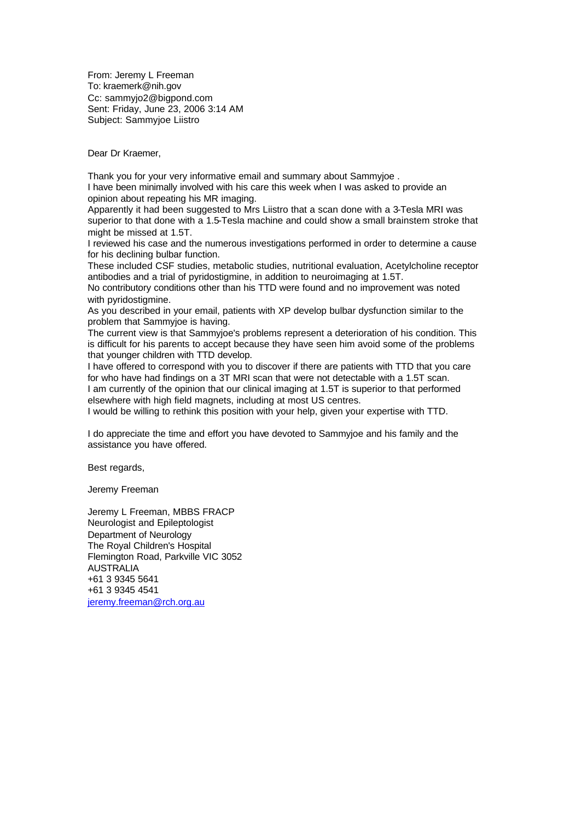From: Jeremy L Freeman To: kraemerk@nih.gov Cc: sammyjo2@bigpond.com Sent: Friday, June 23, 2006 3:14 AM Subject: Sammyjoe Liistro

Dear Dr Kraemer,

Thank you for your very informative email and summary about Sammyjoe . I have been minimally involved with his care this week when I was asked to provide an opinion about repeating his MR imaging.

Apparently it had been suggested to Mrs Liistro that a scan done with a 3-Tesla MRI was superior to that done with a 1.5-Tesla machine and could show a small brainstem stroke that might be missed at 1.5T.

I reviewed his case and the numerous investigations performed in order to determine a cause for his declining bulbar function.

These included CSF studies, metabolic studies, nutritional evaluation, Acetylcholine receptor antibodies and a trial of pyridostigmine, in addition to neuroimaging at 1.5T.

No contributory conditions other than his TTD were found and no improvement was noted with pyridostigmine.

As you described in your email, patients with XP develop bulbar dysfunction similar to the problem that Sammyjoe is having.

The current view is that Sammyjoe's problems represent a deterioration of his condition. This is difficult for his parents to accept because they have seen him avoid some of the problems that younger children with TTD develop.

I have offered to correspond with you to discover if there are patients with TTD that you care for who have had findings on a 3T MRI scan that were not detectable with a 1.5T scan. I am currently of the opinion that our clinical imaging at 1.5T is superior to that performed elsewhere with high field magnets, including at most US centres.

I would be willing to rethink this position with your help, given your expertise with TTD.

I do appreciate the time and effort you have devoted to Sammyjoe and his family and the assistance you have offered.

Best regards,

Jeremy Freeman

Jeremy L Freeman, MBBS FRACP Neurologist and Epileptologist Department of Neurology The Royal Children's Hospital Flemington Road, Parkville VIC 3052 AUSTRALIA +61 3 9345 5641 +61 3 9345 4541 jeremy.freeman@rch.org.au